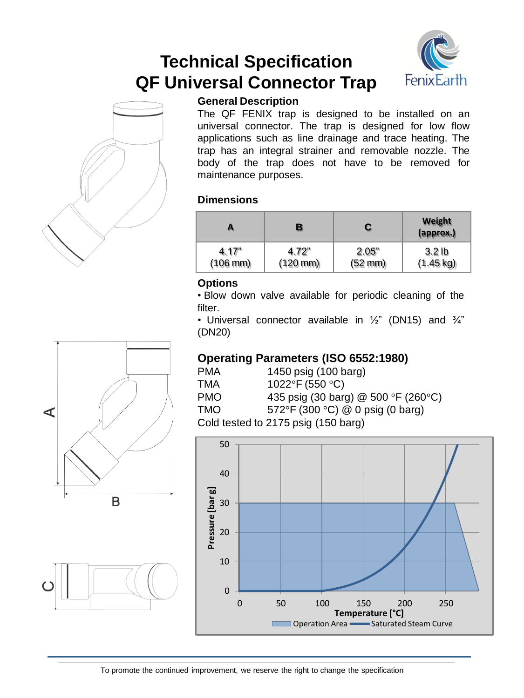# **Technical Specification QF Universal Connector Trap**





# **General Description**

The QF FENIX trap is designed to be installed on an universal connector. The trap is designed for low flow applications such as line drainage and trace heating. The trap has an integral strainer and removable nozzle. The body of the trap does not have to be removed for maintenance purposes.

# **Dimensions**

| А                    | в                    | С                 | Weight<br>(approx.) |
|----------------------|----------------------|-------------------|---------------------|
| 4.17"                | 4.72"                | 2.05"             | 3.2 <sub>lb</sub>   |
| $(106 \, \text{mm})$ | $(120 \, \text{mm})$ | $(52 \text{ mm})$ | $(1.45 \text{ kg})$ |

# **Options**

• Blow down valve available for periodic cleaning of the filter.

• Universal connector available in  $\frac{1}{2}$ " (DN15) and  $\frac{3}{4}$ " (DN20)

# **Operating Parameters (ISO 6552:1980)**

| <b>PMA</b> | 1450 psig (100 barg)                                |
|------------|-----------------------------------------------------|
| TMA        | 1022°F (550 °C)                                     |
| <b>PMO</b> | 435 psig (30 barg) @ 500 °F (260 °C)                |
| TMO.       | 572°F (300 °C) @ 0 psig (0 barg)                    |
|            | $C$ old tootad to $2475$ poin $(450 \text{ hours})$ |

Cold tested to 2175 psig (150 barg)